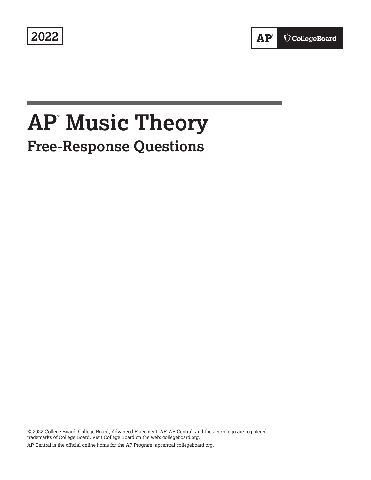**2022** 

# **AP® Music Theory Free-Response Questions**

© 2022 College Board. College Board, Advanced Placement, AP, AP Central, and the acorn logo are registered trademarks of College Board. Visit College Board on the web: [collegeboard.org.](https://collegeboard.org) AP Central is the official online home for the AP Program: [apcentral.collegeboard.org.](https://apcentral.collegeboard.org)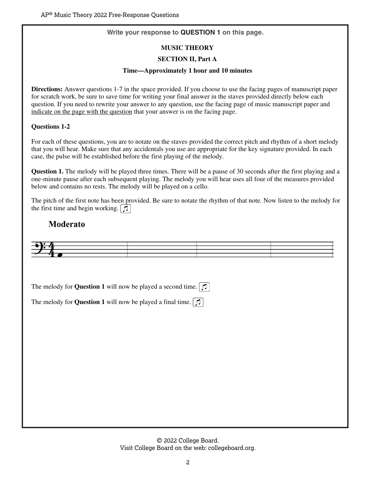## **Write your response to QUESTION 1 on this page.**

## **MUSIC THEORY**

## **SECTION II, Part A**

## **Time—Approximately 1 hour and 10 minutes**

**Directions:** Answer questions 1-7 in the space provided. If you choose to use the facing pages of manuscript paper for scratch work, be sure to save time for writing your final answer in the staves provided directly below each question. If you need to rewrite your answer to any question, use the facing page of music manuscript paper and indicate on the page with the question that your answer is on the facing page.

## **Questions 1-2**

For each of these questions, you are to notate on the staves provided the correct pitch and rhythm of a short melody that you will hear. Make sure that any accidentals you use are appropriate for the key signature provided. In each case, the pulse will be established before the first playing of the melody.

**Question 1.** The melody will be played three times. There will be a pause of 30 seconds after the first playing and a one-minute pause after each subsequent playing. The melody you will hear uses all four of the measures provided below and contains no rests. The melody will be played on a cello.

The pitch of the first note has been provided. Be sure to notate the rhythm of that note. Now listen to the melody for the first time and begin working.  $\boxed{1}$ 

## **Moderato**



The melody for **Question 1** will now be played a second time.  $\lceil \mathcal{I} \rceil$ 

The melody for **Question 1** will now be played a final time.  $\lceil \frac{1}{2} \rceil$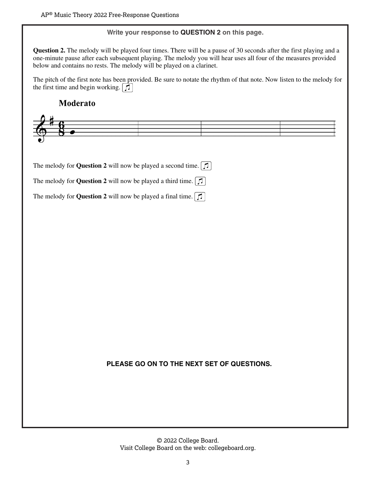## **Write your response to QUESTION 2 on this page.**

**Question 2.** The melody will be played four times. There will be a pause of 30 seconds after the first playing and a one-minute pause after each subsequent playing. The melody you will hear uses all four of the measures provided below and contains no rests. The melody will be played on a clarinet.

The pitch of the first note has been provided. Be sure to notate the rhythm of that note. Now listen to the melody for the first time and begin working.  $\boxed{f}$ 

## Moderato



The melody for **Question 2** will now be played a second time.  $\boxed{1}$ 

The melody for **Question 2** will now be played a third time.

The melody for **Question 2** will now be played a final time.  $\lceil \mathcal{I} \rceil$ 

## **PLEASE GO ON TO THE NEXT SET OF QUESTIONS.**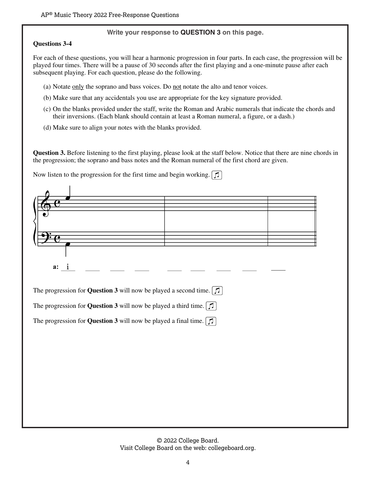#### **Write your response to QUESTION 3 on this page.**

## **Questions 3-4**

For each of these questions, you will hear a harmonic progression in four parts. In each case, the progression will be played four times. There will be a pause of 30 seconds after the first playing and a one-minute pause after each subsequent playing. For each question, please do the following.

- (a) Notate only the soprano and bass voices. Do not notate the alto and tenor voices.
- (b) Make sure that any accidentals you use are appropriate for the key signature provided.
- (c) On the blanks provided under the staff, write the Roman and Arabic numerals that indicate the chords and their inversions. (Each blank should contain at least a Roman numeral, a figure, or a dash.)
- (d) Make sure to align your notes with the blanks provided.

**Question 3.** Before listening to the first playing, please look at the staff below. Notice that there are nine chords in the progression; the soprano and bass notes and the Roman numeral of the first chord are given.

Now listen to the progression for the first time and begin working.  $\boxed{1}$ 

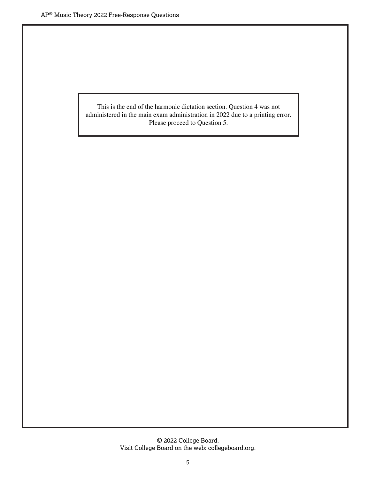This is the end of the harmonic dictation section. Question 4 was not administered in the main exam administration in 2022 due to a printing error. Please proceed to Question 5.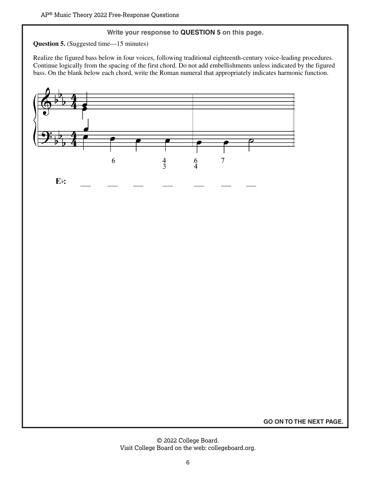## **Write your response to QUESTION 5 on this page.**

**Question 5.** (Suggested time—15 minutes)

Realize the figured bass below in four voices, following traditional eighteenth-century voice-leading procedures. Continue logically from the spacing of the first chord. Do not add embellishments unless indicated by the figured bass. On the blank below each chord, write the Roman numeral that appropriately indicates harmonic function.



**GO ON TO THE NEXT PAGE.**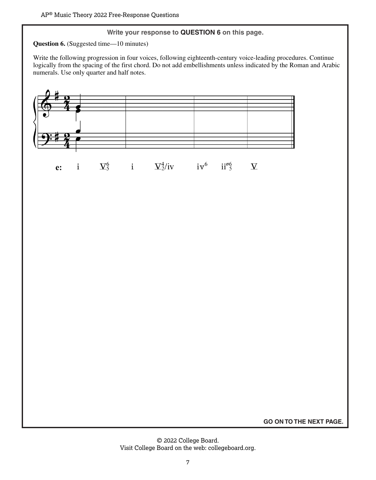## **Write your response to QUESTION 6 on this page.**

**Question 6.** (Suggested time—10 minutes)

Write the following progression in four voices, following eighteenth-century voice-leading procedures. Continue logically from the spacing of the first chord. Do not add embellishments unless indicated by the Roman and Arabic numerals. Use only quarter and half notes.



 $\Sigma_5^6$  $i$  $\Sigma_2^4$ /iv iv<sup>6</sup>  $ii^{86}$  $\overline{\bf V}$  $\mathbf{i}$ e:

**GO ON TO THE NEXT PAGE.**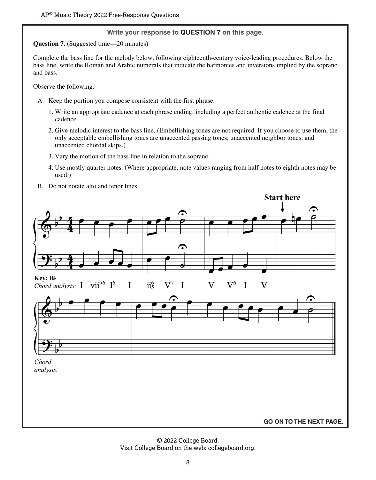#### **Write your response to QUESTION 7 on this page.**

**Question 7.** (Suggested time—20 minutes)

Complete the bass line for the melody below, following eighteenth-century voice-leading procedures. Below the bass line, write the Roman and Arabic numerals that indicate the harmonies and inversions implied by the soprano and bass.

Observe the following.

- A. Keep the portion you compose consistent with the first phrase.
	- 1. Write an appropriate cadence at each phrase ending, including a perfect authentic cadence at the final cadence.
	- 2. Give melodic interest to the bass line. (Embellishing tones are not required. If you choose to use them, the only acceptable embellishing tones are unaccented passing tones, unaccented neighbor tones, and unaccented chordal skips.)
	- 3. Vary the motion of the bass line in relation to the soprano.
	- 4. Use mostly quarter notes. (Where appropriate, note values ranging from half notes to eighth notes may be used.)
- B. Do not notate alto and tenor lines.